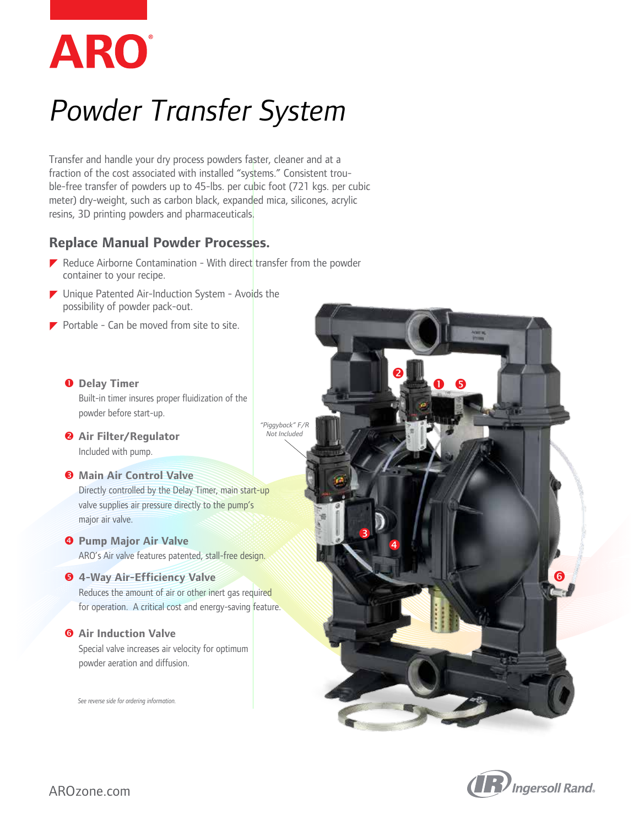

# *Powder Transfer System*

Transfer and handle your dry process powders faster, cleaner and at a fraction of the cost associated with installed "systems." Consistent trouble-free transfer of powders up to 45-lbs. per cubic foot (721 kgs. per cubic meter) dry-weight, such as carbon black, expanded mica, silicones, acrylic resins, 3D printing powders and pharmaceuticals.

### **Replace Manual Powder Processes.**

- $\blacktriangleright$  Reduce Airborne Contamination With direct transfer from the powder container to your recipe.
- $\blacktriangleright$  Unique Patented Air-Induction System Avoids the possibility of powder pack-out.
- $\blacktriangleright$  Portable Can be moved from site to site.
	- **O** Delay Timer Built-in timer insures proper fluidization of the powder before start-up.
	- **Air Filter/Regulator** Included with pump.

#### $\Theta$  Main Air Control Valve

 Directly controlled by the Delay Timer, main start-up valve supplies air pressure directly to the pump's major air valve.

*<b>Pump Major Air Valve* ARO's Air valve features patented, stall-free design.

#### **4-Way Air-Efficiency Valve**

 Reduces the amount of air or other inert gas required for operation. A critical cost and energy-saving feature.

#### $\theta$  Air Induction Valve

 Special valve increases air velocity for optimum powder aeration and diffusion.

*See reverse side for ordering information.*